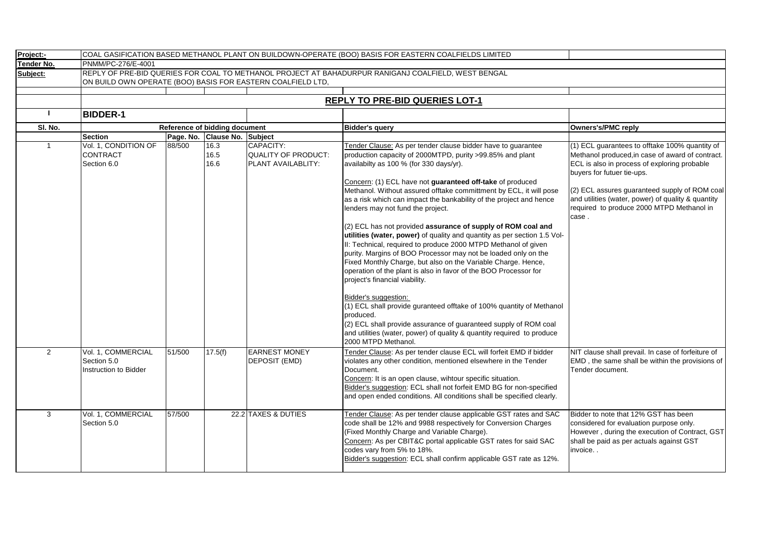| Project:-    | COAL GASIFICATION BASED METHANOL PLANT ON BUILDOWN-OPERATE (BOO) BASIS FOR EASTERN COALFIELDS LIMITED                                                              |        |                               |                                                        |                                                                                                                                                                                                                                                                                                                                                                                                                                                                                                                                                                                                                                                                                                                                                                                                                                                                                                                                                                                                                                                                                                                                       |                                                                                                                                                                                                                                                                                                                                               |  |  |  |  |  |
|--------------|--------------------------------------------------------------------------------------------------------------------------------------------------------------------|--------|-------------------------------|--------------------------------------------------------|---------------------------------------------------------------------------------------------------------------------------------------------------------------------------------------------------------------------------------------------------------------------------------------------------------------------------------------------------------------------------------------------------------------------------------------------------------------------------------------------------------------------------------------------------------------------------------------------------------------------------------------------------------------------------------------------------------------------------------------------------------------------------------------------------------------------------------------------------------------------------------------------------------------------------------------------------------------------------------------------------------------------------------------------------------------------------------------------------------------------------------------|-----------------------------------------------------------------------------------------------------------------------------------------------------------------------------------------------------------------------------------------------------------------------------------------------------------------------------------------------|--|--|--|--|--|
| Tender No.   | PNMM/PC-276/E-4001                                                                                                                                                 |        |                               |                                                        |                                                                                                                                                                                                                                                                                                                                                                                                                                                                                                                                                                                                                                                                                                                                                                                                                                                                                                                                                                                                                                                                                                                                       |                                                                                                                                                                                                                                                                                                                                               |  |  |  |  |  |
| Subject:     | REPLY OF PRE-BID QUERIES FOR COAL TO METHANOL PROJECT AT BAHADURPUR RANIGANJ COALFIELD, WEST BENGAL<br>ON BUILD OWN OPERATE (BOO) BASIS FOR EASTERN COALFIELD LTD, |        |                               |                                                        |                                                                                                                                                                                                                                                                                                                                                                                                                                                                                                                                                                                                                                                                                                                                                                                                                                                                                                                                                                                                                                                                                                                                       |                                                                                                                                                                                                                                                                                                                                               |  |  |  |  |  |
|              |                                                                                                                                                                    |        |                               |                                                        |                                                                                                                                                                                                                                                                                                                                                                                                                                                                                                                                                                                                                                                                                                                                                                                                                                                                                                                                                                                                                                                                                                                                       |                                                                                                                                                                                                                                                                                                                                               |  |  |  |  |  |
|              | <b>REPLY TO PRE-BID QUERIES LOT-1</b>                                                                                                                              |        |                               |                                                        |                                                                                                                                                                                                                                                                                                                                                                                                                                                                                                                                                                                                                                                                                                                                                                                                                                                                                                                                                                                                                                                                                                                                       |                                                                                                                                                                                                                                                                                                                                               |  |  |  |  |  |
|              | <b>BIDDER-1</b>                                                                                                                                                    |        |                               |                                                        |                                                                                                                                                                                                                                                                                                                                                                                                                                                                                                                                                                                                                                                                                                                                                                                                                                                                                                                                                                                                                                                                                                                                       |                                                                                                                                                                                                                                                                                                                                               |  |  |  |  |  |
| SI. No.      |                                                                                                                                                                    |        | Reference of bidding document |                                                        | Bidder's query                                                                                                                                                                                                                                                                                                                                                                                                                                                                                                                                                                                                                                                                                                                                                                                                                                                                                                                                                                                                                                                                                                                        | Owners's/PMC reply                                                                                                                                                                                                                                                                                                                            |  |  |  |  |  |
|              | <b>Section</b>                                                                                                                                                     |        | Page. No. Clause No. Subject  |                                                        |                                                                                                                                                                                                                                                                                                                                                                                                                                                                                                                                                                                                                                                                                                                                                                                                                                                                                                                                                                                                                                                                                                                                       |                                                                                                                                                                                                                                                                                                                                               |  |  |  |  |  |
| $\mathbf{1}$ | Vol. 1, CONDITION OF<br><b>CONTRACT</b><br>Section 6.0                                                                                                             | 88/500 | 16.3<br>16.5<br>16.6          | CAPACITY:<br>QUALITY OF PRODUCT:<br>PLANT AVAILABLITY: | Tender Clause: As per tender clause bidder have to guarantee<br>production capacity of 2000MTPD, purity >99.85% and plant<br>availabilty as 100 % (for 330 days/yr).<br>Concern: (1) ECL have not guaranteed off-take of produced<br>Methanol. Without assured offtake committment by ECL, it will pose<br>as a risk which can impact the bankability of the project and hence<br>lenders may not fund the project.<br>(2) ECL has not provided assurance of supply of ROM coal and<br>utilities (water, power) of quality and quantity as per section 1.5 Vol-<br>II: Technical, required to produce 2000 MTPD Methanol of given<br>purity. Margins of BOO Processor may not be loaded only on the<br>Fixed Monthly Charge, but also on the Variable Charge. Hence,<br>operation of the plant is also in favor of the BOO Processor for<br>project's financial viability.<br>Bidder's suggestion:<br>(1) ECL shall provide guranteed offtake of 100% quantity of Methanol<br>produced.<br>(2) ECL shall provide assurance of guaranteed supply of ROM coal<br>and utilities (water, power) of quality & quantity required to produce | (1) ECL quarantees to offtake 100% quantity of<br>Methanol produced, in case of award of contract.<br>ECL is also in process of exploring probable<br>buyers for futuer tie-ups.<br>(2) ECL assures guaranteed supply of ROM coal<br>and utilities (water, power) of quality & quantity<br>required to produce 2000 MTPD Methanol in<br>case. |  |  |  |  |  |
| 2            | Vol. 1, COMMERCIAL<br>Section 5.0<br>Instruction to Bidder                                                                                                         | 51/500 | 17.5(f)                       | <b>EARNEST MONEY</b><br><b>DEPOSIT (EMD)</b>           | 2000 MTPD Methanol.<br>Tender Clause: As per tender clause ECL will forfeit EMD if bidder<br>violates any other condition, mentioned elsewhere in the Tender<br>Document.<br>Concern: It is an open clause, wihtour specific situation.<br>Bidder's suggestion: ECL shall not forfeit EMD BG for non-specified<br>and open ended conditions. All conditions shall be specified clearly.                                                                                                                                                                                                                                                                                                                                                                                                                                                                                                                                                                                                                                                                                                                                               | NIT clause shall prevail. In case of forfeiture of<br>EMD, the same shall be within the provisions of<br>Tender document.                                                                                                                                                                                                                     |  |  |  |  |  |
| 3            | Vol. 1, COMMERCIAL<br>Section 5.0                                                                                                                                  | 57/500 |                               | 22.2 TAXES & DUTIES                                    | Tender Clause: As per tender clause applicable GST rates and SAC<br>code shall be 12% and 9988 respectively for Conversion Charges<br>(Fixed Monthly Charge and Variable Charge).<br>Concern: As per CBIT&C portal applicable GST rates for said SAC<br>codes vary from 5% to 18%.<br>Bidder's suggestion: ECL shall confirm applicable GST rate as 12%.                                                                                                                                                                                                                                                                                                                                                                                                                                                                                                                                                                                                                                                                                                                                                                              | Bidder to note that 12% GST has been<br>considered for evaluation purpose only.<br>However, during the execution of Contract, GST<br>shall be paid as per actuals against GST<br>invoice                                                                                                                                                      |  |  |  |  |  |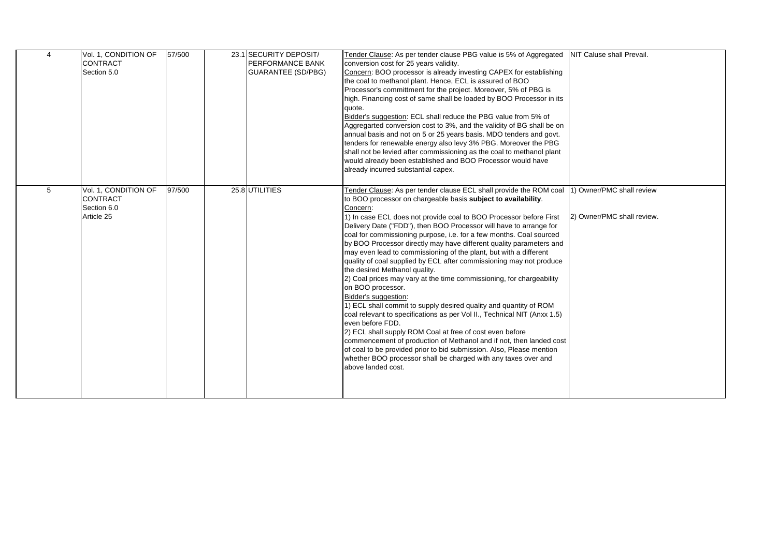| $\overline{4}$ | Vol. 1, CONDITION OF<br><b>CONTRACT</b><br>Section 5.0               | 57/500 | 23.1 SECURITY DEPOSIT/<br><b>PERFORMANCE BANK</b><br><b>GUARANTEE (SD/PBG)</b> | Tender Clause: As per tender clause PBG value is 5% of Aggregated<br>conversion cost for 25 years validity.<br>Concern: BOO processor is already investing CAPEX for establishing<br>the coal to methanol plant. Hence, ECL is assured of BOO<br>Processor's committment for the project. Moreover, 5% of PBG is<br>high. Financing cost of same shall be loaded by BOO Processor in its<br>quote.<br>Bidder's suggestion: ECL shall reduce the PBG value from 5% of<br>Aggregarted conversion cost to 3%, and the validity of BG shall be on<br>annual basis and not on 5 or 25 years basis. MDO tenders and govt.<br>tenders for renewable energy also levy 3% PBG. Moreover the PBG<br>shall not be levied after commissioning as the coal to methanol plant<br>would already been established and BOO Processor would have<br>already incurred substantial capex.                                                                                                                                                                                                                                                                                                                                               | <b>INIT Caluse shall Prevail.</b>                        |
|----------------|----------------------------------------------------------------------|--------|--------------------------------------------------------------------------------|---------------------------------------------------------------------------------------------------------------------------------------------------------------------------------------------------------------------------------------------------------------------------------------------------------------------------------------------------------------------------------------------------------------------------------------------------------------------------------------------------------------------------------------------------------------------------------------------------------------------------------------------------------------------------------------------------------------------------------------------------------------------------------------------------------------------------------------------------------------------------------------------------------------------------------------------------------------------------------------------------------------------------------------------------------------------------------------------------------------------------------------------------------------------------------------------------------------------|----------------------------------------------------------|
| 5              | Vol. 1, CONDITION OF<br><b>CONTRACT</b><br>Section 6.0<br>Article 25 | 97/500 | 25.8 UTILITIES                                                                 | Tender Clause: As per tender clause ECL shall provide the ROM coal<br>to BOO processor on chargeable basis subject to availability.<br>Concern:<br>1) In case ECL does not provide coal to BOO Processor before First<br>Delivery Date ("FDD"), then BOO Processor will have to arrange for<br>coal for commissioning purpose, i.e. for a few months. Coal sourced<br>by BOO Processor directly may have different quality parameters and<br>may even lead to commissioning of the plant, but with a different<br>quality of coal supplied by ECL after commissioning may not produce<br>the desired Methanol quality.<br>2) Coal prices may vary at the time commissioning, for chargeability<br>on BOO processor.<br>Bidder's suggestion:<br>1) ECL shall commit to supply desired quality and quantity of ROM<br>coal relevant to specifications as per Vol II., Technical NIT (Anxx 1.5)<br>even before FDD.<br>2) ECL shall supply ROM Coal at free of cost even before<br>commencement of production of Methanol and if not, then landed cost<br>of coal to be provided prior to bid submission. Also, Please mention<br>whether BOO processor shall be charged with any taxes over and<br>above landed cost. | 1) Owner/PMC shall review<br>[2] Owner/PMC shall review. |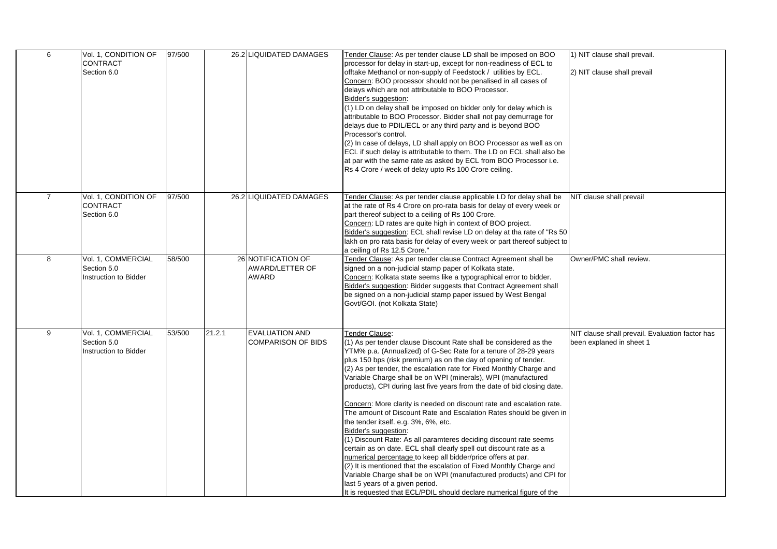| 6              | Vol. 1, CONDITION OF<br><b>CONTRACT</b><br>Section 6.0     | 97/500 |        | 26.2 LIQUIDATED DAMAGES                                      | Tender Clause: As per tender clause LD shall be imposed on BOO<br>processor for delay in start-up, except for non-readiness of ECL to<br>offtake Methanol or non-supply of Feedstock / utilities by ECL.<br>Concern: BOO processor should not be penalised in all cases of<br>delays which are not attributable to BOO Processor.<br>Bidder's suggestion:<br>(1) LD on delay shall be imposed on bidder only for delay which is<br>attributable to BOO Processor. Bidder shall not pay demurrage for<br>delays due to PDIL/ECL or any third party and is beyond BOO<br>Processor's control.<br>(2) In case of delays, LD shall apply on BOO Processor as well as on<br>ECL if such delay is attributable to them. The LD on ECL shall also be<br>at par with the same rate as asked by ECL from BOO Processor i.e.<br>Rs 4 Crore / week of delay upto Rs 100 Crore ceiling.                                                                                                                                                                                                                                                        | 1) NIT clause shall prevail.<br>2) NIT clause shall prevail                 |
|----------------|------------------------------------------------------------|--------|--------|--------------------------------------------------------------|------------------------------------------------------------------------------------------------------------------------------------------------------------------------------------------------------------------------------------------------------------------------------------------------------------------------------------------------------------------------------------------------------------------------------------------------------------------------------------------------------------------------------------------------------------------------------------------------------------------------------------------------------------------------------------------------------------------------------------------------------------------------------------------------------------------------------------------------------------------------------------------------------------------------------------------------------------------------------------------------------------------------------------------------------------------------------------------------------------------------------------|-----------------------------------------------------------------------------|
| $\overline{7}$ | Vol. 1, CONDITION OF<br>CONTRACT<br>Section 6.0            | 97/500 |        | 26.2 LIQUIDATED DAMAGES                                      | Tender Clause: As per tender clause applicable LD for delay shall be<br>at the rate of Rs 4 Crore on pro-rata basis for delay of every week or<br>part thereof subject to a ceiling of Rs 100 Crore.<br>Concern: LD rates are quite high in context of BOO project.<br>Bidder's suggestion: ECL shall revise LD on delay at tha rate of "Rs 50<br>lakh on pro rata basis for delay of every week or part thereof subject to<br>a ceiling of Rs 12.5 Crore."                                                                                                                                                                                                                                                                                                                                                                                                                                                                                                                                                                                                                                                                        | NIT clause shall prevail                                                    |
| 8              | Vol. 1, COMMERCIAL<br>Section 5.0<br>Instruction to Bidder | 58/500 |        | 26 NOTIFICATION OF<br><b>AWARD/LETTER OF</b><br><b>AWARD</b> | Tender Clause: As per tender clause Contract Agreement shall be<br>signed on a non-judicial stamp paper of Kolkata state.<br>Concern: Kolkata state seems like a typographical error to bidder.<br>Bidder's suggestion: Bidder suggests that Contract Agreement shall<br>be signed on a non-judicial stamp paper issued by West Bengal<br>Govt/GOI. (not Kolkata State)                                                                                                                                                                                                                                                                                                                                                                                                                                                                                                                                                                                                                                                                                                                                                            | Owner/PMC shall review.                                                     |
| 9              | Vol. 1, COMMERCIAL<br>Section 5.0<br>Instruction to Bidder | 53/500 | 21.2.1 | <b>EVALUATION AND</b><br>COMPARISON OF BIDS                  | Tender Clause:<br>(1) As per tender clause Discount Rate shall be considered as the<br>YTM% p.a. (Annualized) of G-Sec Rate for a tenure of 28-29 years<br>plus 150 bps (risk premium) as on the day of opening of tender.<br>(2) As per tender, the escalation rate for Fixed Monthly Charge and<br>Variable Charge shall be on WPI (minerals), WPI (manufactured<br>products), CPI during last five years from the date of bid closing date.<br>Concern: More clarity is needed on discount rate and escalation rate.<br>The amount of Discount Rate and Escalation Rates should be given in<br>the tender itself. e.g. 3%, 6%, etc.<br>Bidder's suggestion:<br>(1) Discount Rate: As all paramteres deciding discount rate seems<br>certain as on date. ECL shall clearly spell out discount rate as a<br>numerical percentage to keep all bidder/price offers at par.<br>(2) It is mentioned that the escalation of Fixed Monthly Charge and<br>Variable Charge shall be on WPI (manufactured products) and CPI for<br>last 5 years of a given period.<br>It is requested that ECL/PDIL should declare numerical figure of the | NIT clause shall prevail. Evaluation factor has<br>been explaned in sheet 1 |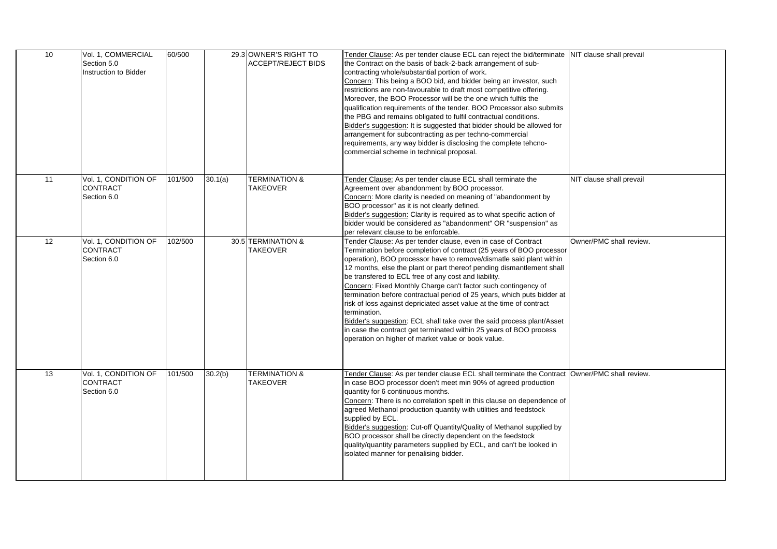| 10 | Vol. 1, COMMERCIAL<br>Section 5.0<br>Instruction to Bidder | 60/500  |         | 29.3 OWNER'S RIGHT TO<br><b>ACCEPT/REJECT BIDS</b> | Tender Clause: As per tender clause ECL can reject the bid/terminate NIT clause shall prevail<br>the Contract on the basis of back-2-back arrangement of sub-<br>contracting whole/substantial portion of work.<br>Concern: This being a BOO bid, and bidder being an investor, such<br>restrictions are non-favourable to draft most competitive offering.<br>Moreover, the BOO Processor will be the one which fulfils the<br>qualification requirements of the tender. BOO Processor also submits<br>the PBG and remains obligated to fulfil contractual conditions.<br>Bidder's suggestion: It is suggested that bidder should be allowed for<br>arrangement for subcontracting as per techno-commercial<br>requirements, any way bidder is disclosing the complete tehcno-<br>commercial scheme in technical proposal. |                          |
|----|------------------------------------------------------------|---------|---------|----------------------------------------------------|-----------------------------------------------------------------------------------------------------------------------------------------------------------------------------------------------------------------------------------------------------------------------------------------------------------------------------------------------------------------------------------------------------------------------------------------------------------------------------------------------------------------------------------------------------------------------------------------------------------------------------------------------------------------------------------------------------------------------------------------------------------------------------------------------------------------------------|--------------------------|
| 11 | Vol. 1, CONDITION OF<br><b>CONTRACT</b><br>Section 6.0     | 101/500 | 30.1(a) | <b>TERMINATION &amp;</b><br><b>TAKEOVER</b>        | Tender Clause: As per tender clause ECL shall terminate the<br>Agreement over abandonment by BOO processor.<br>Concern: More clarity is needed on meaning of "abandonment by<br>BOO processor" as it is not clearly defined.<br>Bidder's suggestion: Clarity is required as to what specific action of<br>bidder would be considered as "abandonment" OR "suspension" as<br>per relevant clause to be enforcable.                                                                                                                                                                                                                                                                                                                                                                                                           | NIT clause shall prevail |
| 12 | Vol. 1, CONDITION OF<br><b>CONTRACT</b><br>Section 6.0     | 102/500 |         | 30.5 TERMINATION &<br><b>TAKEOVER</b>              | Tender Clause: As per tender clause, even in case of Contract<br>Termination before completion of contract (25 years of BOO processor<br>operation), BOO processor have to remove/dismatle said plant within<br>12 months, else the plant or part thereof pending dismantlement shall<br>be transfered to ECL free of any cost and liability.<br>Concern: Fixed Monthly Charge can't factor such contingency of<br>termination before contractual period of 25 years, which puts bidder at<br>risk of loss against depriciated asset value at the time of contract<br>termination.<br>Bidder's suggestion: ECL shall take over the said process plant/Asset<br>in case the contract get terminated within 25 years of BOO process<br>operation on higher of market value or book value.                                     | Owner/PMC shall review.  |
| 13 | Vol. 1, CONDITION OF<br><b>CONTRACT</b><br>Section 6.0     | 101/500 | 30.2(b) | <b>TERMINATION &amp;</b><br><b>TAKEOVER</b>        | Tender Clause: As per tender clause ECL shall terminate the Contract Owner/PMC shall review.<br>in case BOO processor doen't meet min 90% of agreed production<br>quantity for 6 continuous months.<br>Concern: There is no correlation spelt in this clause on dependence of<br>agreed Methanol production quantity with utilities and feedstock<br>supplied by ECL.<br>Bidder's suggestion: Cut-off Quantity/Quality of Methanol supplied by<br>BOO processor shall be directly dependent on the feedstock<br>quality/quantity parameters supplied by ECL, and can't be looked in<br>isolated manner for penalising bidder.                                                                                                                                                                                               |                          |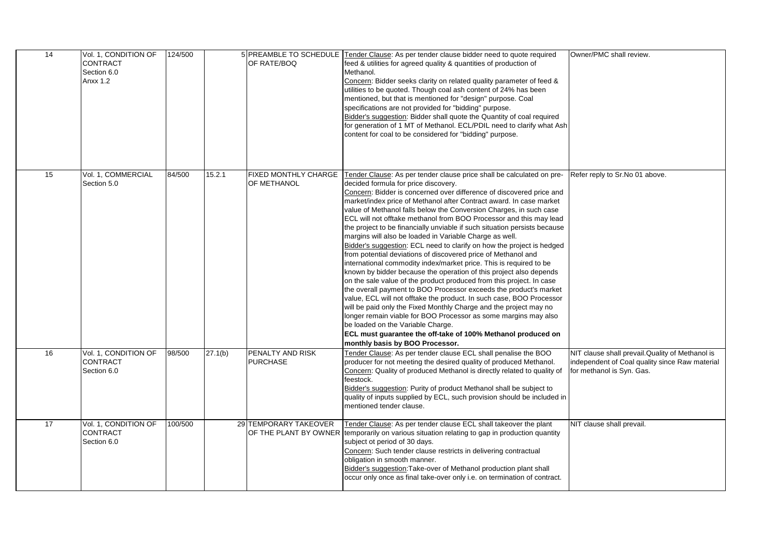| 14 | Vol. 1, CONDITION OF<br>CONTRACT<br>Section 6.0<br><b>Anxx 1.2</b> | 124/500 |         | OF RATE/BOQ                                    | 5 PREAMBLE TO SCHEDULE Tender Clause: As per tender clause bidder need to quote required<br>feed & utilities for agreed quality & quantities of production of<br>Methanol.<br>Concern: Bidder seeks clarity on related quality parameter of feed &<br>utilities to be quoted. Though coal ash content of 24% has been<br>mentioned, but that is mentioned for "design" purpose. Coal<br>specifications are not provided for "bidding" purpose.<br>Bidder's suggestion: Bidder shall quote the Quantity of coal required<br>for generation of 1 MT of Methanol. ECL/PDIL need to clarify what Ash<br>content for coal to be considered for "bidding" purpose.                                                                                                                                                                                                                                                                                                                                                                                                                                                                                                                                                                                                                                                                                | Owner/PMC shall review.                                                                                                         |
|----|--------------------------------------------------------------------|---------|---------|------------------------------------------------|---------------------------------------------------------------------------------------------------------------------------------------------------------------------------------------------------------------------------------------------------------------------------------------------------------------------------------------------------------------------------------------------------------------------------------------------------------------------------------------------------------------------------------------------------------------------------------------------------------------------------------------------------------------------------------------------------------------------------------------------------------------------------------------------------------------------------------------------------------------------------------------------------------------------------------------------------------------------------------------------------------------------------------------------------------------------------------------------------------------------------------------------------------------------------------------------------------------------------------------------------------------------------------------------------------------------------------------------|---------------------------------------------------------------------------------------------------------------------------------|
| 15 | Vol. 1, COMMERCIAL<br>Section 5.0                                  | 84/500  | 15.2.1  | FIXED MONTHLY CHARGE<br>OF METHANOL            | Tender Clause: As per tender clause price shall be calculated on pre-<br>decided formula for price discovery.<br>Concern: Bidder is concerned over difference of discovered price and<br>market/index price of Methanol after Contract award. In case market<br>value of Methanol falls below the Conversion Charges, in such case<br>ECL will not offtake methanol from BOO Processor and this may lead<br>the project to be financially unviable if such situation persists because<br>margins will also be loaded in Variable Charge as well.<br>Bidder's suggestion: ECL need to clarify on how the project is hedged<br>from potential deviations of discovered price of Methanol and<br>international commodity index/market price. This is required to be<br>known by bidder because the operation of this project also depends<br>on the sale value of the product produced from this project. In case<br>the overall payment to BOO Processor exceeds the product's market<br>value, ECL will not offtake the product. In such case, BOO Processor<br>will be paid only the Fixed Monthly Charge and the project may no<br>longer remain viable for BOO Processor as some margins may also<br>be loaded on the Variable Charge.<br>ECL must guarantee the off-take of 100% Methanol produced on<br>monthly basis by BOO Processor. | Refer reply to Sr. No 01 above.                                                                                                 |
| 16 | Vol. 1, CONDITION OF<br>CONTRACT<br>Section 6.0                    | 98/500  | 27.1(b) | PENALTY AND RISK<br><b>PURCHASE</b>            | Tender Clause: As per tender clause ECL shall penalise the BOO<br>producer for not meeting the desired quality of produced Methanol.<br>Concern: Quality of produced Methanol is directly related to quality of<br>feestock.<br>Bidder's suggestion: Purity of product Methanol shall be subject to<br>quality of inputs supplied by ECL, such provision should be included in<br>mentioned tender clause.                                                                                                                                                                                                                                                                                                                                                                                                                                                                                                                                                                                                                                                                                                                                                                                                                                                                                                                                  | NIT clause shall prevail. Quality of Methanol is<br>independent of Coal quality since Raw material<br>for methanol is Syn. Gas. |
| 17 | Vol. 1, CONDITION OF<br><b>CONTRACT</b><br>Section 6.0             | 100/500 |         | 29 TEMPORARY TAKEOVER<br>OF THE PLANT BY OWNER | Tender Clause: As per tender clause ECL shall takeover the plant<br>temporarily on various situation relating to gap in production quantity<br>subject ot period of 30 days.<br>Concern: Such tender clause restricts in delivering contractual<br>obligation in smooth manner.<br>Bidder's suggestion: Take-over of Methanol production plant shall<br>occur only once as final take-over only i.e. on termination of contract.                                                                                                                                                                                                                                                                                                                                                                                                                                                                                                                                                                                                                                                                                                                                                                                                                                                                                                            | NIT clause shall prevail.                                                                                                       |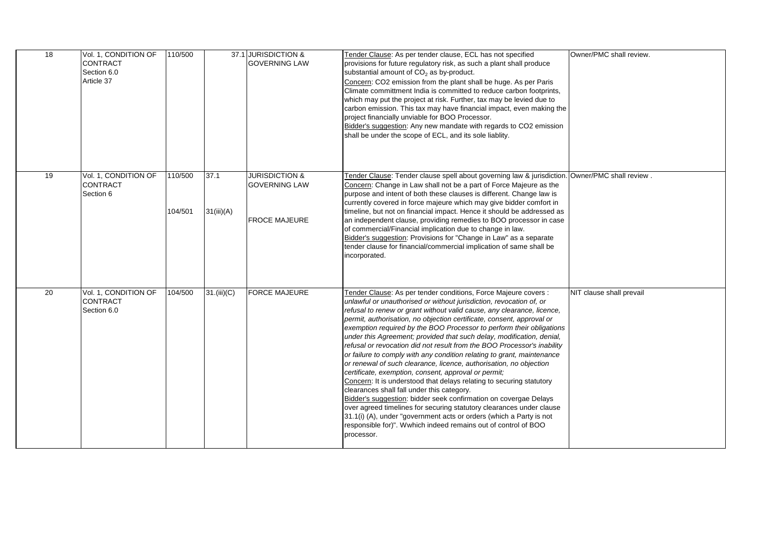| 18 | Vol. 1, CONDITION OF<br><b>CONTRACT</b><br>Section 6.0<br>Article 37 | 110/500            |                    | 37.1 JURISDICTION &<br><b>GOVERNING LAW</b>                               | Tender Clause: As per tender clause, ECL has not specified<br>provisions for future regulatory risk, as such a plant shall produce<br>substantial amount of CO <sub>2</sub> as by-product.<br>Concern: CO2 emission from the plant shall be huge. As per Paris<br>Climate committment India is committed to reduce carbon footprints,<br>which may put the project at risk. Further, tax may be levied due to<br>carbon emission. This tax may have financial impact, even making the<br>project financially unviable for BOO Processor.<br>Bidder's suggestion: Any new mandate with regards to CO2 emission<br>shall be under the scope of ECL, and its sole liablity.                                                                                                                                                                                                                                                                                                                                                                                                                                                                               | Owner/PMC shall review.  |
|----|----------------------------------------------------------------------|--------------------|--------------------|---------------------------------------------------------------------------|--------------------------------------------------------------------------------------------------------------------------------------------------------------------------------------------------------------------------------------------------------------------------------------------------------------------------------------------------------------------------------------------------------------------------------------------------------------------------------------------------------------------------------------------------------------------------------------------------------------------------------------------------------------------------------------------------------------------------------------------------------------------------------------------------------------------------------------------------------------------------------------------------------------------------------------------------------------------------------------------------------------------------------------------------------------------------------------------------------------------------------------------------------|--------------------------|
| 19 | Vol. 1, CONDITION OF<br><b>CONTRACT</b><br>Section 6                 | 110/500<br>104/501 | 37.1<br>31(iii)(A) | <b>JURISDICTION &amp;</b><br><b>GOVERNING LAW</b><br><b>FROCE MAJEURE</b> | . Fender Clause: Tender clause spell about governing law & jurisdiction. Owner/PMC shall review<br>Concern: Change in Law shall not be a part of Force Majeure as the<br>purpose and intent of both these clauses is different. Change law is<br>currently covered in force majeure which may give bidder comfort in<br>timeline, but not on financial impact. Hence it should be addressed as<br>an independent clause, providing remedies to BOO processor in case<br>of commercial/Financial implication due to change in law.<br>Bidder's suggestion: Provisions for "Change in Law" as a separate<br>tender clause for financial/commercial implication of same shall be<br>incorporated.                                                                                                                                                                                                                                                                                                                                                                                                                                                         |                          |
| 20 | Vol. 1, CONDITION OF<br><b>CONTRACT</b><br>Section 6.0               | 104/500            | 31. (iii)(C)       | <b>FORCE MAJEURE</b>                                                      | Tender Clause: As per tender conditions, Force Majeure covers :<br>unlawful or unauthorised or without jurisdiction, revocation of, or<br>refusal to renew or grant without valid cause, any clearance, licence,<br>permit, authorisation, no objection certificate, consent, approval or<br>exemption required by the BOO Processor to perform their obligations<br>under this Agreement; provided that such delay, modification, denial,<br>refusal or revocation did not result from the BOO Processor's inability<br>or failure to comply with any condition relating to grant, maintenance<br>or renewal of such clearance, licence, authorisation, no objection<br>certificate, exemption, consent, approval or permit;<br>Concern: It is understood that delays relating to securing statutory<br>clearances shall fall under this category.<br>Bidder's suggestion: bidder seek confirmation on covergae Delays<br>over agreed timelines for securing statutory clearances under clause<br>31.1(i) (A), under "government acts or orders (which a Party is not<br>responsible for)". Wwhich indeed remains out of control of BOO<br>processor. | NIT clause shall prevail |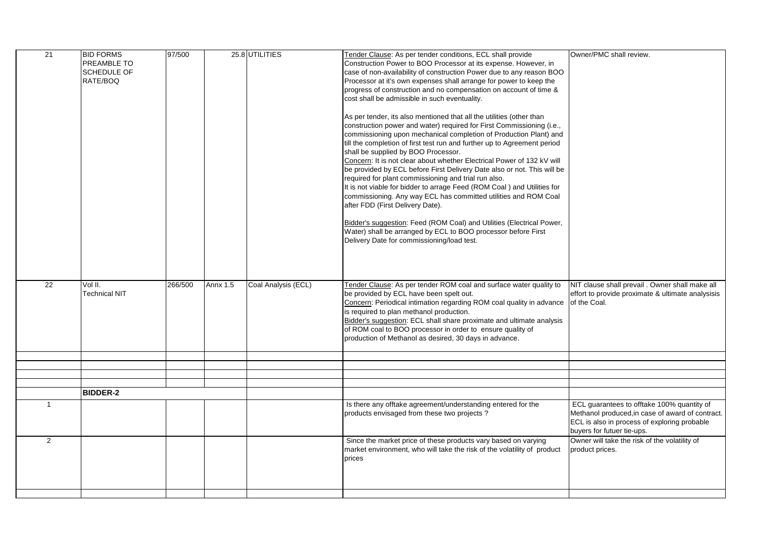| $\overline{21}$ | <b>BID FORMS</b>     | 97/500  |                 | 25.8 UTILITIES      | Tender Clause: As per tender conditions, ECL shall provide               | Owner/PMC shall review.                                                                        |
|-----------------|----------------------|---------|-----------------|---------------------|--------------------------------------------------------------------------|------------------------------------------------------------------------------------------------|
|                 | PREAMBLE TO          |         |                 |                     | Construction Power to BOO Processor at its expense. However, in          |                                                                                                |
|                 | SCHEDULE OF          |         |                 |                     | case of non-availability of construction Power due to any reason BOO     |                                                                                                |
|                 | RATE/BOQ             |         |                 |                     | Processor at it's own expenses shall arrange for power to keep the       |                                                                                                |
|                 |                      |         |                 |                     | progress of construction and no compensation on account of time &        |                                                                                                |
|                 |                      |         |                 |                     | cost shall be admissible in such eventuality.                            |                                                                                                |
|                 |                      |         |                 |                     |                                                                          |                                                                                                |
|                 |                      |         |                 |                     | As per tender, its also mentioned that all the utilities (other than     |                                                                                                |
|                 |                      |         |                 |                     | construction power and water) required for First Commissioning (i.e.,    |                                                                                                |
|                 |                      |         |                 |                     | commissioning upon mechanical completion of Production Plant) and        |                                                                                                |
|                 |                      |         |                 |                     | till the completion of first test run and further up to Agreement period |                                                                                                |
|                 |                      |         |                 |                     | shall be supplied by BOO Processor.                                      |                                                                                                |
|                 |                      |         |                 |                     | Concern: It is not clear about whether Electrical Power of 132 kV will   |                                                                                                |
|                 |                      |         |                 |                     | be provided by ECL before First Delivery Date also or not. This will be  |                                                                                                |
|                 |                      |         |                 |                     | required for plant commissioning and trial run also.                     |                                                                                                |
|                 |                      |         |                 |                     | It is not viable for bidder to arrage Feed (ROM Coal ) and Utilities for |                                                                                                |
|                 |                      |         |                 |                     | commissioning. Any way ECL has committed utilities and ROM Coal          |                                                                                                |
|                 |                      |         |                 |                     | after FDD (First Delivery Date).                                         |                                                                                                |
|                 |                      |         |                 |                     |                                                                          |                                                                                                |
|                 |                      |         |                 |                     |                                                                          |                                                                                                |
|                 |                      |         |                 |                     | Bidder's suggestion: Feed (ROM Coal) and Utilities (Electrical Power,    |                                                                                                |
|                 |                      |         |                 |                     | Water) shall be arranged by ECL to BOO processor before First            |                                                                                                |
|                 |                      |         |                 |                     | Delivery Date for commissioning/load test.                               |                                                                                                |
|                 |                      |         |                 |                     |                                                                          |                                                                                                |
|                 |                      |         |                 |                     |                                                                          |                                                                                                |
|                 |                      |         |                 |                     |                                                                          |                                                                                                |
|                 |                      |         |                 |                     |                                                                          |                                                                                                |
| 22              | Vol II.              | 266/500 | <b>Annx 1.5</b> | Coal Analysis (ECL) | Tender Clause: As per tender ROM coal and surface water quality to       | NIT clause shall prevail . Owner shall make all                                                |
|                 | <b>Technical NIT</b> |         |                 |                     | be provided by ECL have been spelt out.                                  | effort to provide proximate & ultimate analysisis                                              |
|                 |                      |         |                 |                     | Concern: Periodical intimation regarding ROM coal quality in advance     | of the Coal.                                                                                   |
|                 |                      |         |                 |                     | is required to plan methanol production.                                 |                                                                                                |
|                 |                      |         |                 |                     | Bidder's suggestion: ECL shall share proximate and ultimate analysis     |                                                                                                |
|                 |                      |         |                 |                     | of ROM coal to BOO processor in order to ensure quality of               |                                                                                                |
|                 |                      |         |                 |                     | production of Methanol as desired, 30 days in advance.                   |                                                                                                |
|                 |                      |         |                 |                     |                                                                          |                                                                                                |
|                 |                      |         |                 |                     |                                                                          |                                                                                                |
|                 |                      |         |                 |                     |                                                                          |                                                                                                |
|                 |                      |         |                 |                     |                                                                          |                                                                                                |
|                 |                      |         |                 |                     |                                                                          |                                                                                                |
|                 | <b>BIDDER-2</b>      |         |                 |                     |                                                                          |                                                                                                |
| $\overline{1}$  |                      |         |                 |                     |                                                                          |                                                                                                |
|                 |                      |         |                 |                     | Is there any offtake agreement/understanding entered for the             | ECL guarantees to offtake 100% quantity of<br>Methanol produced, in case of award of contract. |
|                 |                      |         |                 |                     | products envisaged from these two projects?                              | ECL is also in process of exploring probable                                                   |
|                 |                      |         |                 |                     |                                                                          |                                                                                                |
|                 |                      |         |                 |                     |                                                                          | buyers for futuer tie-ups.                                                                     |
| $\overline{2}$  |                      |         |                 |                     | Since the market price of these products vary based on varying           | Owner will take the risk of the volatility of                                                  |
|                 |                      |         |                 |                     | market environment, who will take the risk of the volatility of product  | product prices.                                                                                |
|                 |                      |         |                 |                     | prices                                                                   |                                                                                                |
|                 |                      |         |                 |                     |                                                                          |                                                                                                |
|                 |                      |         |                 |                     |                                                                          |                                                                                                |